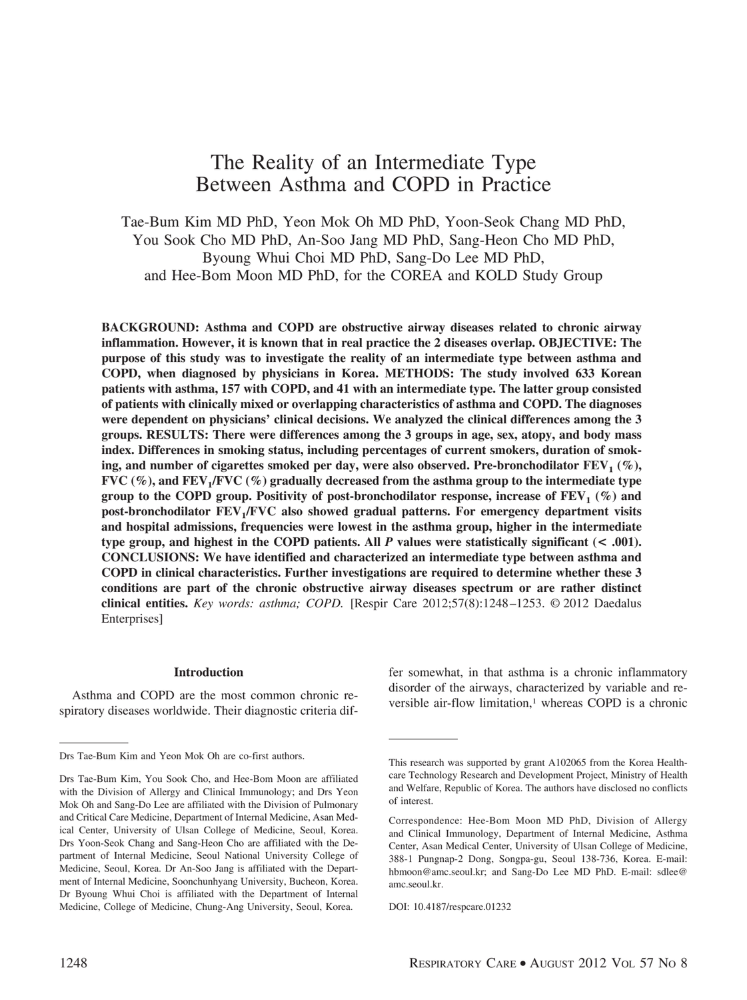# The Reality of an Intermediate Type Between Asthma and COPD in Practice

Tae-Bum Kim MD PhD, Yeon Mok Oh MD PhD, Yoon-Seok Chang MD PhD, You Sook Cho MD PhD, An-Soo Jang MD PhD, Sang-Heon Cho MD PhD, Byoung Whui Choi MD PhD, Sang-Do Lee MD PhD, and Hee-Bom Moon MD PhD, for the COREA and KOLD Study Group

**BACKGROUND: Asthma and COPD are obstructive airway diseases related to chronic airway inflammation. However, it is known that in real practice the 2 diseases overlap. OBJECTIVE: The purpose of this study was to investigate the reality of an intermediate type between asthma and COPD, when diagnosed by physicians in Korea. METHODS: The study involved 633 Korean patients with asthma, 157 with COPD, and 41 with an intermediate type. The latter group consisted of patients with clinically mixed or overlapping characteristics of asthma and COPD. The diagnoses were dependent on physicians' clinical decisions. We analyzed the clinical differences among the 3 groups. RESULTS: There were differences among the 3 groups in age, sex, atopy, and body mass index. Differences in smoking status, including percentages of current smokers, duration of smok**ing, and number of cigarettes smoked per day, were also observed. Pre-bronchodilator  $FEV_1$   $(\%)$ , FVC (%), and FEV<sub>1</sub>/FVC (%) gradually decreased from the asthma group to the intermediate type **group to the COPD group. Positivity of post-bronchodilator response, increase of**  $\text{FEV}_1$  **(%) and post-bronchodilator FEV1/FVC also showed gradual patterns. For emergency department visits and hospital admissions, frequencies were lowest in the asthma group, higher in the intermediate type group, and highest in the COPD patients. All** *P* **values were statistically significant (< .001). CONCLUSIONS: We have identified and characterized an intermediate type between asthma and COPD in clinical characteristics. Further investigations are required to determine whether these 3 conditions are part of the chronic obstructive airway diseases spectrum or are rather distinct clinical entities.** *Key words: asthma; COPD.* [Respir Care 2012;57(8):1248 –1253. © 2012 Daedalus Enterprises]

#### **Introduction**

Asthma and COPD are the most common chronic respiratory diseases worldwide. Their diagnostic criteria differ somewhat, in that asthma is a chronic inflammatory disorder of the airways, characterized by variable and reversible air-flow limitation, $\frac{1}{1}$  whereas COPD is a chronic

DOI: 10.4187/respcare.01232

Drs Tae-Bum Kim and Yeon Mok Oh are co-first authors.

Drs Tae-Bum Kim, You Sook Cho, and Hee-Bom Moon are affiliated with the Division of Allergy and Clinical Immunology; and Drs Yeon Mok Oh and Sang-Do Lee are affiliated with the Division of Pulmonary and Critical Care Medicine, Department of Internal Medicine, Asan Medical Center, University of Ulsan College of Medicine, Seoul, Korea. Drs Yoon-Seok Chang and Sang-Heon Cho are affiliated with the Department of Internal Medicine, Seoul National University College of Medicine, Seoul, Korea. Dr An-Soo Jang is affiliated with the Department of Internal Medicine, Soonchunhyang University, Bucheon, Korea. Dr Byoung Whui Choi is affiliated with the Department of Internal Medicine, College of Medicine, Chung-Ang University, Seoul, Korea.

This research was supported by grant A102065 from the Korea Healthcare Technology Research and Development Project, Ministry of Health and Welfare, Republic of Korea. The authors have disclosed no conflicts of interest.

Correspondence: Hee-Bom Moon MD PhD, Division of Allergy and Clinical Immunology, Department of Internal Medicine, Asthma Center, Asan Medical Center, University of Ulsan College of Medicine, 388-1 Pungnap-2 Dong, Songpa-gu, Seoul 138-736, Korea. E-mail: hbmoon@amc.seoul.kr; and Sang-Do Lee MD PhD. E-mail: sdlee@ amc.seoul.kr.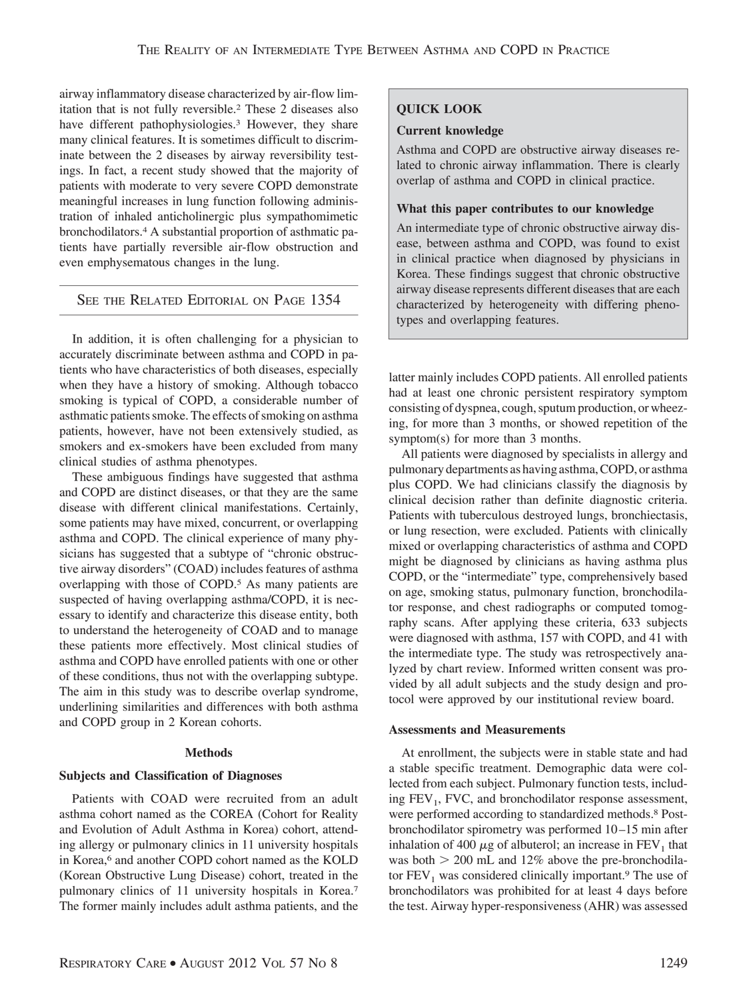airway inflammatory disease characterized by air-flow limitation that is not fully reversible.2 These 2 diseases also have different pathophysiologies.<sup>3</sup> However, they share many clinical features. It is sometimes difficult to discriminate between the 2 diseases by airway reversibility testings. In fact, a recent study showed that the majority of patients with moderate to very severe COPD demonstrate meaningful increases in lung function following administration of inhaled anticholinergic plus sympathomimetic bronchodilators.4 A substantial proportion of asthmatic patients have partially reversible air-flow obstruction and even emphysematous changes in the lung.

# SEE THE RELATED EDITORIAL ON PAGE 1354

In addition, it is often challenging for a physician to accurately discriminate between asthma and COPD in patients who have characteristics of both diseases, especially when they have a history of smoking. Although tobacco smoking is typical of COPD, a considerable number of asthmatic patients smoke. The effects of smoking on asthma patients, however, have not been extensively studied, as smokers and ex-smokers have been excluded from many clinical studies of asthma phenotypes.

These ambiguous findings have suggested that asthma and COPD are distinct diseases, or that they are the same disease with different clinical manifestations. Certainly, some patients may have mixed, concurrent, or overlapping asthma and COPD. The clinical experience of many physicians has suggested that a subtype of "chronic obstructive airway disorders" (COAD) includes features of asthma overlapping with those of COPD.5 As many patients are suspected of having overlapping asthma/COPD, it is necessary to identify and characterize this disease entity, both to understand the heterogeneity of COAD and to manage these patients more effectively. Most clinical studies of asthma and COPD have enrolled patients with one or other of these conditions, thus not with the overlapping subtype. The aim in this study was to describe overlap syndrome, underlining similarities and differences with both asthma and COPD group in 2 Korean cohorts.

## **Methods**

# **Subjects and Classification of Diagnoses**

Patients with COAD were recruited from an adult asthma cohort named as the COREA (Cohort for Reality and Evolution of Adult Asthma in Korea) cohort, attending allergy or pulmonary clinics in 11 university hospitals in Korea,<sup>6</sup> and another COPD cohort named as the KOLD (Korean Obstructive Lung Disease) cohort, treated in the pulmonary clinics of 11 university hospitals in Korea.7 The former mainly includes adult asthma patients, and the

# **QUICK LOOK**

## **Current knowledge**

Asthma and COPD are obstructive airway diseases related to chronic airway inflammation. There is clearly overlap of asthma and COPD in clinical practice.

## **What this paper contributes to our knowledge**

An intermediate type of chronic obstructive airway disease, between asthma and COPD, was found to exist in clinical practice when diagnosed by physicians in Korea. These findings suggest that chronic obstructive airway disease represents different diseases that are each characterized by heterogeneity with differing phenotypes and overlapping features.

latter mainly includes COPD patients. All enrolled patients had at least one chronic persistent respiratory symptom consisting of dyspnea, cough, sputum production, or wheezing, for more than 3 months, or showed repetition of the symptom(s) for more than 3 months.

All patients were diagnosed by specialists in allergy and pulmonary departments as having asthma, COPD, or asthma plus COPD. We had clinicians classify the diagnosis by clinical decision rather than definite diagnostic criteria. Patients with tuberculous destroyed lungs, bronchiectasis, or lung resection, were excluded. Patients with clinically mixed or overlapping characteristics of asthma and COPD might be diagnosed by clinicians as having asthma plus COPD, or the "intermediate" type, comprehensively based on age, smoking status, pulmonary function, bronchodilator response, and chest radiographs or computed tomography scans. After applying these criteria, 633 subjects were diagnosed with asthma, 157 with COPD, and 41 with the intermediate type. The study was retrospectively analyzed by chart review. Informed written consent was provided by all adult subjects and the study design and protocol were approved by our institutional review board.

## **Assessments and Measurements**

At enrollment, the subjects were in stable state and had a stable specific treatment. Demographic data were collected from each subject. Pulmonary function tests, including  $FEV<sub>1</sub>$ , FVC, and bronchodilator response assessment, were performed according to standardized methods.8 Postbronchodilator spirometry was performed 10 –15 min after inhalation of 400  $\mu$ g of albuterol; an increase in FEV<sub>1</sub> that was both  $> 200$  mL and 12% above the pre-bronchodilator  $FEV<sub>1</sub>$  was considered clinically important.<sup>9</sup> The use of bronchodilators was prohibited for at least 4 days before the test. Airway hyper-responsiveness (AHR) was assessed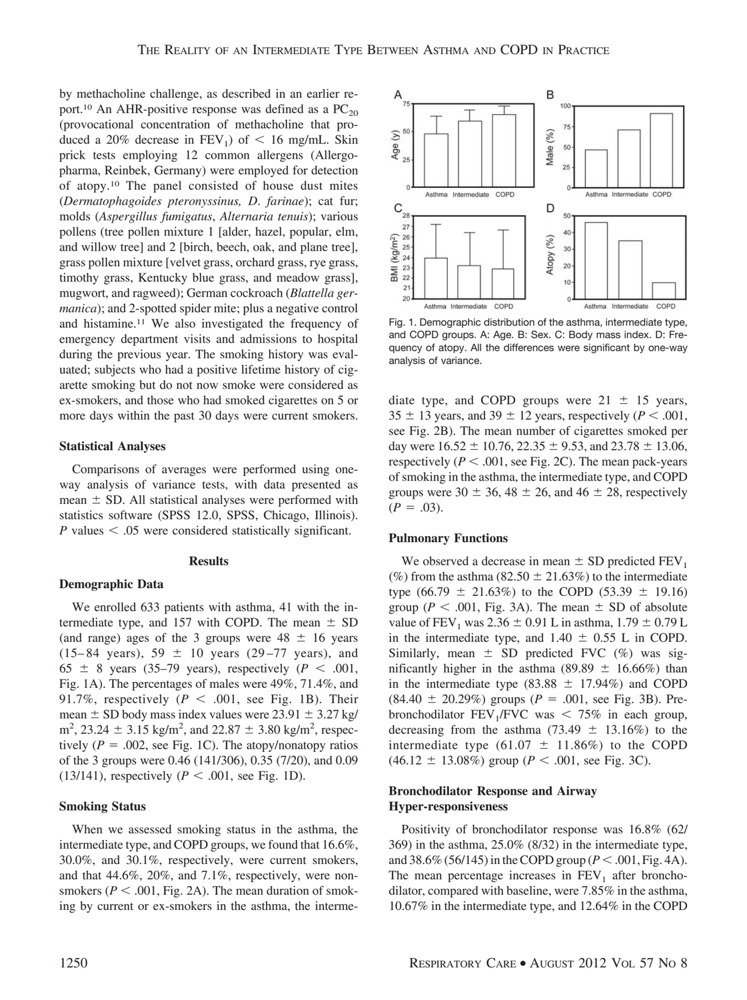by methacholine challenge, as described in an earlier report.<sup>10</sup> An AHR-positive response was defined as a  $PC_{20}$ (provocational concentration of methacholine that produced a 20% decrease in  $FEV_1$ ) of  $\leq 16$  mg/mL. Skin prick tests employing 12 common allergens (Allergopharma, Reinbek, Germany) were employed for detection of atopy.10 The panel consisted of house dust mites (*Dermatophagoides pteronyssinus, D*. *farinae*); cat fur; molds (*Aspergillus fumigatus*, *Alternaria tenuis*); various pollens (tree pollen mixture 1 [alder, hazel, popular, elm, and willow tree] and 2 [birch, beech, oak, and plane tree], grass pollen mixture [velvet grass, orchard grass, rye grass, timothy grass, Kentucky blue grass, and meadow grass], mugwort, and ragweed); German cockroach (*Blattella germanica*); and 2-spotted spider mite; plus a negative control and histamine.11 We also investigated the frequency of emergency department visits and admissions to hospital during the previous year. The smoking history was evaluated; subjects who had a positive lifetime history of cigarette smoking but do not now smoke were considered as ex-smokers, and those who had smoked cigarettes on 5 or more days within the past 30 days were current smokers.

#### **Statistical Analyses**

Comparisons of averages were performed using oneway analysis of variance tests, with data presented as mean  $\pm$  SD. All statistical analyses were performed with statistics software (SPSS 12.0, SPSS, Chicago, Illinois).  $P$  values  $\leq .05$  were considered statistically significant.

#### **Results**

## **Demographic Data**

We enrolled 633 patients with asthma, 41 with the intermediate type, and 157 with COPD. The mean  $\pm$  SD (and range) ages of the 3 groups were  $48 \pm 16$  years  $(15-84 \text{ years}), 59 \pm 10 \text{ years}$  (29-77 years), and  $65 \pm 8$  years (35–79 years), respectively ( $P < .001$ , Fig. 1A). The percentages of males were 49%, 71.4%, and 91.7%, respectively  $(P < .001$ , see Fig. 1B). Their mean  $\pm$  SD body mass index values were 23.91  $\pm$  3.27 kg/  $\text{m}^2$ , 23.24  $\pm$  3.15 kg/m<sup>2</sup>, and 22.87  $\pm$  3.80 kg/m<sup>2</sup>, respectively ( $P = .002$ , see Fig. 1C). The atopy/nonatopy ratios of the 3 groups were 0.46 (141/306), 0.35 (7/20), and 0.09  $(13/141)$ , respectively  $(P < .001)$ , see Fig. 1D).

## **Smoking Status**

When we assessed smoking status in the asthma, the intermediate type, and COPD groups, we found that 16.6%, 30.0%, and 30.1%, respectively, were current smokers, and that 44.6%, 20%, and 7.1%, respectively, were nonsmokers ( $P < .001$ , Fig. 2A). The mean duration of smoking by current or ex-smokers in the asthma, the interme-



Fig. 1. Demographic distribution of the asthma, intermediate type, and COPD groups. A: Age. B: Sex. C: Body mass index. D: Frequency of atopy. All the differences were significant by one-way analysis of variance.

diate type, and COPD groups were  $21 \pm 15$  years,  $35 \pm 13$  years, and  $39 \pm 12$  years, respectively ( $P < .001$ , see Fig. 2B). The mean number of cigarettes smoked per day were  $16.52 \pm 10.76$ ,  $22.35 \pm 9.53$ , and  $23.78 \pm 13.06$ , respectively ( $P < .001$ , see Fig. 2C). The mean pack-years of smoking in the asthma, the intermediate type, and COPD groups were  $30 \pm 36$ ,  $48 \pm 26$ , and  $46 \pm 28$ , respectively  $(P = .03)$ .

#### **Pulmonary Functions**

We observed a decrease in mean  $\pm$  SD predicted FEV<sub>1</sub> (%) from the asthma (82.50  $\pm$  21.63%) to the intermediate type (66.79  $\pm$  21.63%) to the COPD (53.39  $\pm$  19.16) group ( $P < .001$ , Fig. 3A). The mean  $\pm$  SD of absolute value of FEV<sub>1</sub> was 2.36  $\pm$  0.91 L in asthma, 1.79  $\pm$  0.79 L in the intermediate type, and  $1.40 \pm 0.55$  L in COPD. Similarly, mean  $\pm$  SD predicted FVC (%) was significantly higher in the asthma (89.89  $\pm$  16.66%) than in the intermediate type  $(83.88 \pm 17.94\%)$  and COPD  $(84.40 \pm 20.29\%)$  groups  $(P = .001, \text{ see Fig. 3B})$ . Prebronchodilator  $FEV_1/FVC$  was  $\lt$  75% in each group, decreasing from the asthma (73.49  $\pm$  13.16%) to the intermediate type  $(61.07 \pm 11.86\%)$  to the COPD  $(46.12 \pm 13.08\%)$  group (*P* < .001, see Fig. 3C).

## **Bronchodilator Response and Airway Hyper-responsiveness**

Positivity of bronchodilator response was 16.8% (62/ 369) in the asthma, 25.0% (8/32) in the intermediate type, and 38.6% (56/145) in the COPD group ( $P < .001$ , Fig. 4A). The mean percentage increases in  $FEV<sub>1</sub>$  after bronchodilator, compared with baseline, were 7.85% in the asthma, 10.67% in the intermediate type, and 12.64% in the COPD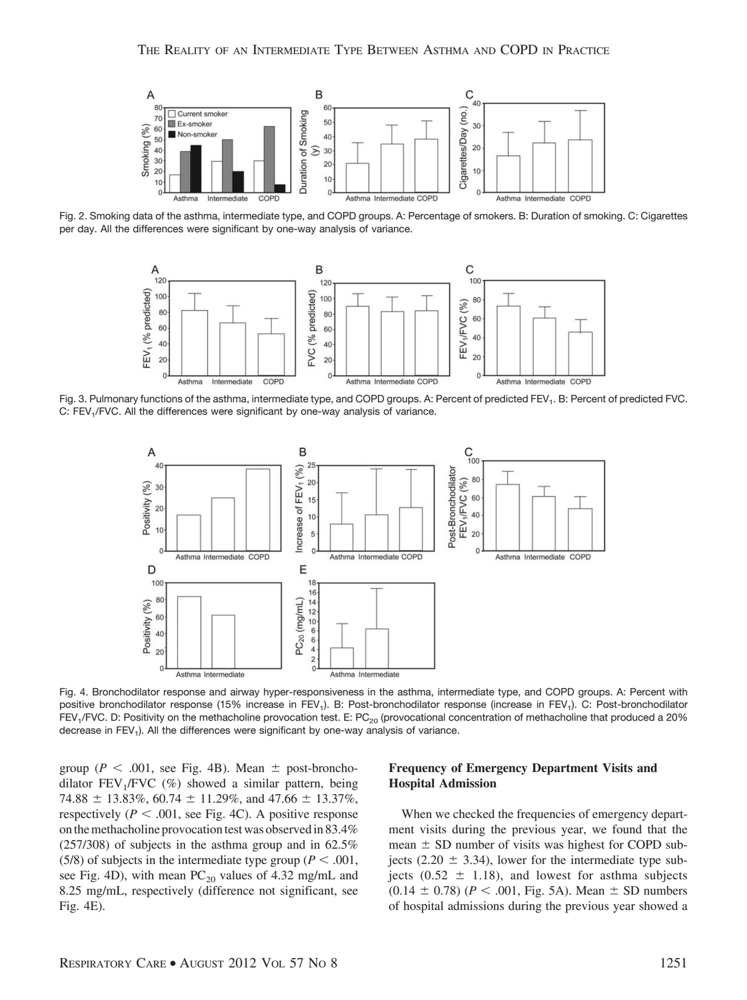

Fig. 2. Smoking data of the asthma, intermediate type, and COPD groups. A: Percentage of smokers. B: Duration of smoking. C: Cigarettes per day. All the differences were significant by one-way analysis of variance.



Fig. 3. Pulmonary functions of the asthma, intermediate type, and COPD groups. A: Percent of predicted FEV<sub>1</sub>. B: Percent of predicted FVC. C: FEV<sub>1</sub>/FVC. All the differences were significant by one-way analysis of variance.



Fig. 4. Bronchodilator response and airway hyper-responsiveness in the asthma, intermediate type, and COPD groups. A: Percent with positive bronchodilator response (15% increase in FEV<sub>1</sub>). B: Post-bronchodilator response (increase in FEV<sub>1</sub>). C: Post-bronchodilator FEV<sub>1</sub>/FVC. D: Positivity on the methacholine provocation test. E: PC<sub>20</sub> (provocational concentration of methacholine that produced a 20% decrease in  $FEV<sub>1</sub>$ ). All the differences were significant by one-way analysis of variance.

group ( $P < .001$ , see Fig. 4B). Mean  $\pm$  post-bronchodilator FEV<sub>1</sub>/FVC  $(\%)$  showed a similar pattern, being 74.88  $\pm$  13.83%, 60.74  $\pm$  11.29%, and 47.66  $\pm$  13.37%, respectively ( $P < .001$ , see Fig. 4C). A positive response on the methacholine provocation test was observed in 83.4% (257/308) of subjects in the asthma group and in 62.5%  $(5/8)$  of subjects in the intermediate type group ( $P < .001$ , see Fig. 4D), with mean  $PC_{20}$  values of 4.32 mg/mL and 8.25 mg/mL, respectively (difference not significant, see Fig. 4E).

# **Frequency of Emergency Department Visits and Hospital Admission**

When we checked the frequencies of emergency department visits during the previous year, we found that the mean  $\pm$  SD number of visits was highest for COPD subjects (2.20  $\pm$  3.34), lower for the intermediate type subjects (0.52  $\pm$  1.18), and lowest for asthma subjects  $(0.14 \pm 0.78)$  ( $P < .001$ , Fig. 5A). Mean  $\pm$  SD numbers of hospital admissions during the previous year showed a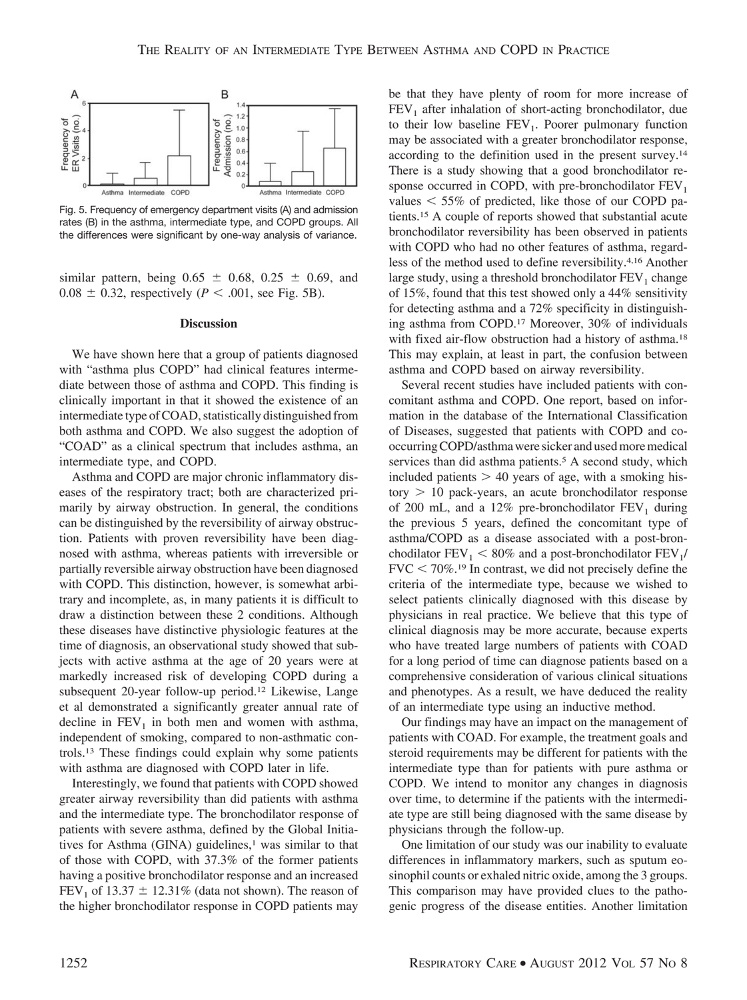

Fig. 5. Frequency of emergency department visits (A) and admission rates (B) in the asthma, intermediate type, and COPD groups. All the differences were significant by one-way analysis of variance.

similar pattern, being  $0.65 \pm 0.68$ ,  $0.25 \pm 0.69$ , and  $0.08 \pm 0.32$ , respectively (*P* < .001, see Fig. 5B).

#### **Discussion**

We have shown here that a group of patients diagnosed with "asthma plus COPD" had clinical features intermediate between those of asthma and COPD. This finding is clinically important in that it showed the existence of an intermediate type of COAD, statistically distinguished from both asthma and COPD. We also suggest the adoption of "COAD" as a clinical spectrum that includes asthma, an intermediate type, and COPD.

Asthma and COPD are major chronic inflammatory diseases of the respiratory tract; both are characterized primarily by airway obstruction. In general, the conditions can be distinguished by the reversibility of airway obstruction. Patients with proven reversibility have been diagnosed with asthma, whereas patients with irreversible or partially reversible airway obstruction have been diagnosed with COPD. This distinction, however, is somewhat arbitrary and incomplete, as, in many patients it is difficult to draw a distinction between these 2 conditions. Although these diseases have distinctive physiologic features at the time of diagnosis, an observational study showed that subjects with active asthma at the age of 20 years were at markedly increased risk of developing COPD during a subsequent 20-year follow-up period.12 Likewise, Lange et al demonstrated a significantly greater annual rate of decline in  $FEV<sub>1</sub>$  in both men and women with asthma, independent of smoking, compared to non-asthmatic controls.13 These findings could explain why some patients with asthma are diagnosed with COPD later in life.

Interestingly, we found that patients with COPD showed greater airway reversibility than did patients with asthma and the intermediate type. The bronchodilator response of patients with severe asthma, defined by the Global Initiatives for Asthma (GINA) guidelines, $<sup>1</sup>$  was similar to that</sup> of those with COPD, with 37.3% of the former patients having a positive bronchodilator response and an increased FEV<sub>1</sub> of 13.37  $\pm$  12.31% (data not shown). The reason of the higher bronchodilator response in COPD patients may

be that they have plenty of room for more increase of  $FEV<sub>1</sub>$  after inhalation of short-acting bronchodilator, due to their low baseline  $FEV<sub>1</sub>$ . Poorer pulmonary function may be associated with a greater bronchodilator response, according to the definition used in the present survey.14 There is a study showing that a good bronchodilator response occurred in COPD, with pre-bronchodilator  $FEV<sub>1</sub>$ values  $\leq 55\%$  of predicted, like those of our COPD patients.15 A couple of reports showed that substantial acute bronchodilator reversibility has been observed in patients with COPD who had no other features of asthma, regardless of the method used to define reversibility.4,16 Another large study, using a threshold bronchodilator  $FEV<sub>1</sub>$  change of 15%, found that this test showed only a 44% sensitivity for detecting asthma and a 72% specificity in distinguishing asthma from COPD.17 Moreover, 30% of individuals with fixed air-flow obstruction had a history of asthma.18 This may explain, at least in part, the confusion between asthma and COPD based on airway reversibility.

Several recent studies have included patients with concomitant asthma and COPD. One report, based on information in the database of the International Classification of Diseases, suggested that patients with COPD and cooccurring COPD/asthma were sicker and used more medical services than did asthma patients.<sup>5</sup> A second study, which included patients  $> 40$  years of age, with a smoking his $tory > 10$  pack-years, an acute bronchodilator response of 200 mL, and a 12% pre-bronchodilator  $FEV<sub>1</sub>$  during the previous 5 years, defined the concomitant type of asthma/COPD as a disease associated with a post-bronchodilator  $FEV_1 < 80\%$  and a post-bronchodilator  $FEV_1/$  $FVC < 70\%$ .<sup>19</sup> In contrast, we did not precisely define the criteria of the intermediate type, because we wished to select patients clinically diagnosed with this disease by physicians in real practice. We believe that this type of clinical diagnosis may be more accurate, because experts who have treated large numbers of patients with COAD for a long period of time can diagnose patients based on a comprehensive consideration of various clinical situations and phenotypes. As a result, we have deduced the reality of an intermediate type using an inductive method.

Our findings may have an impact on the management of patients with COAD. For example, the treatment goals and steroid requirements may be different for patients with the intermediate type than for patients with pure asthma or COPD. We intend to monitor any changes in diagnosis over time, to determine if the patients with the intermediate type are still being diagnosed with the same disease by physicians through the follow-up.

One limitation of our study was our inability to evaluate differences in inflammatory markers, such as sputum eosinophil counts or exhaled nitric oxide, among the 3 groups. This comparison may have provided clues to the pathogenic progress of the disease entities. Another limitation